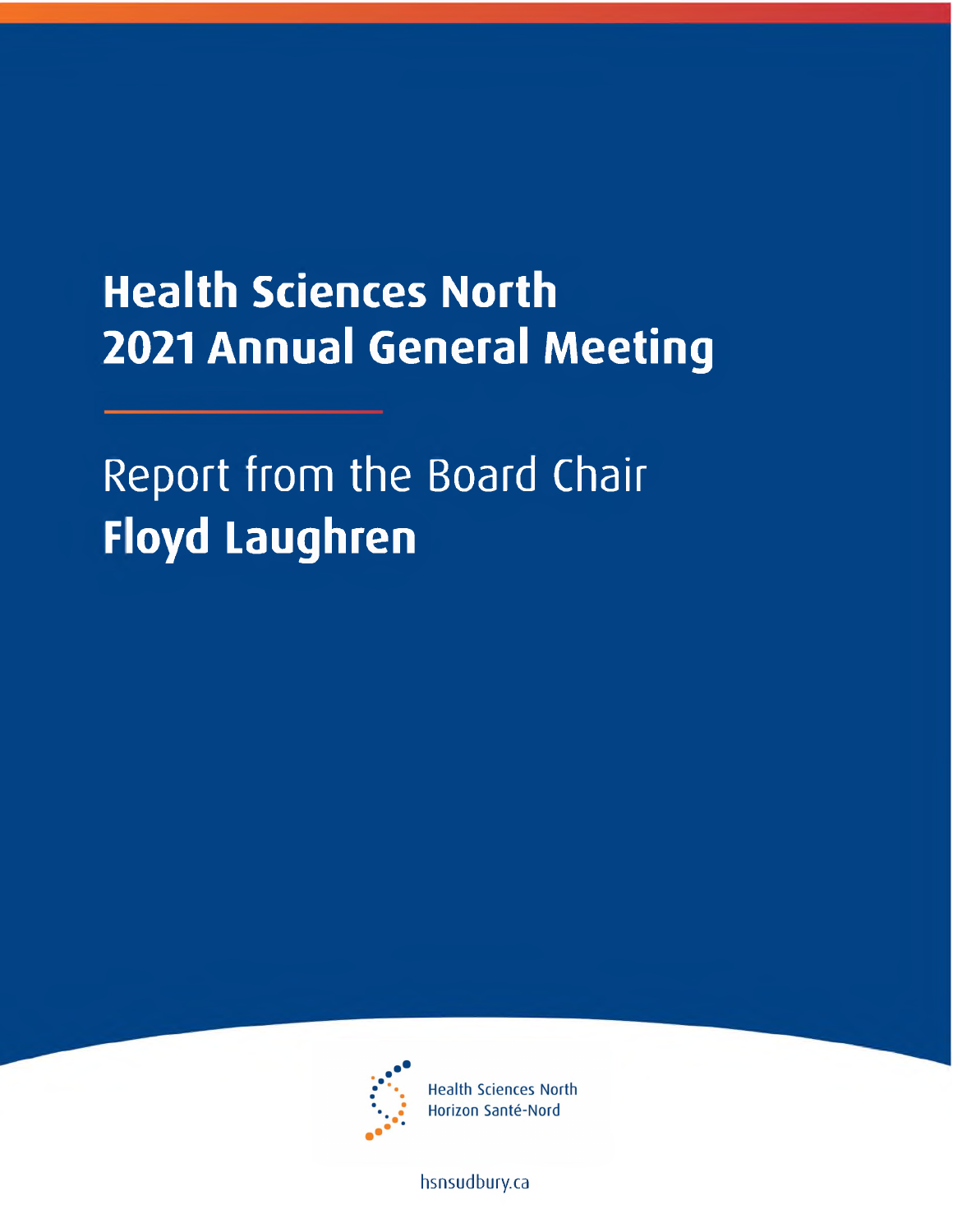## **Health Sciences North 2021 Annual General Meeting**

Report from the Board Chair **Floyd Laughren**



**Health Sciences North** Horizon Santé-Nord

[hsnsudbury.ca](www.hsnsudbury.ca)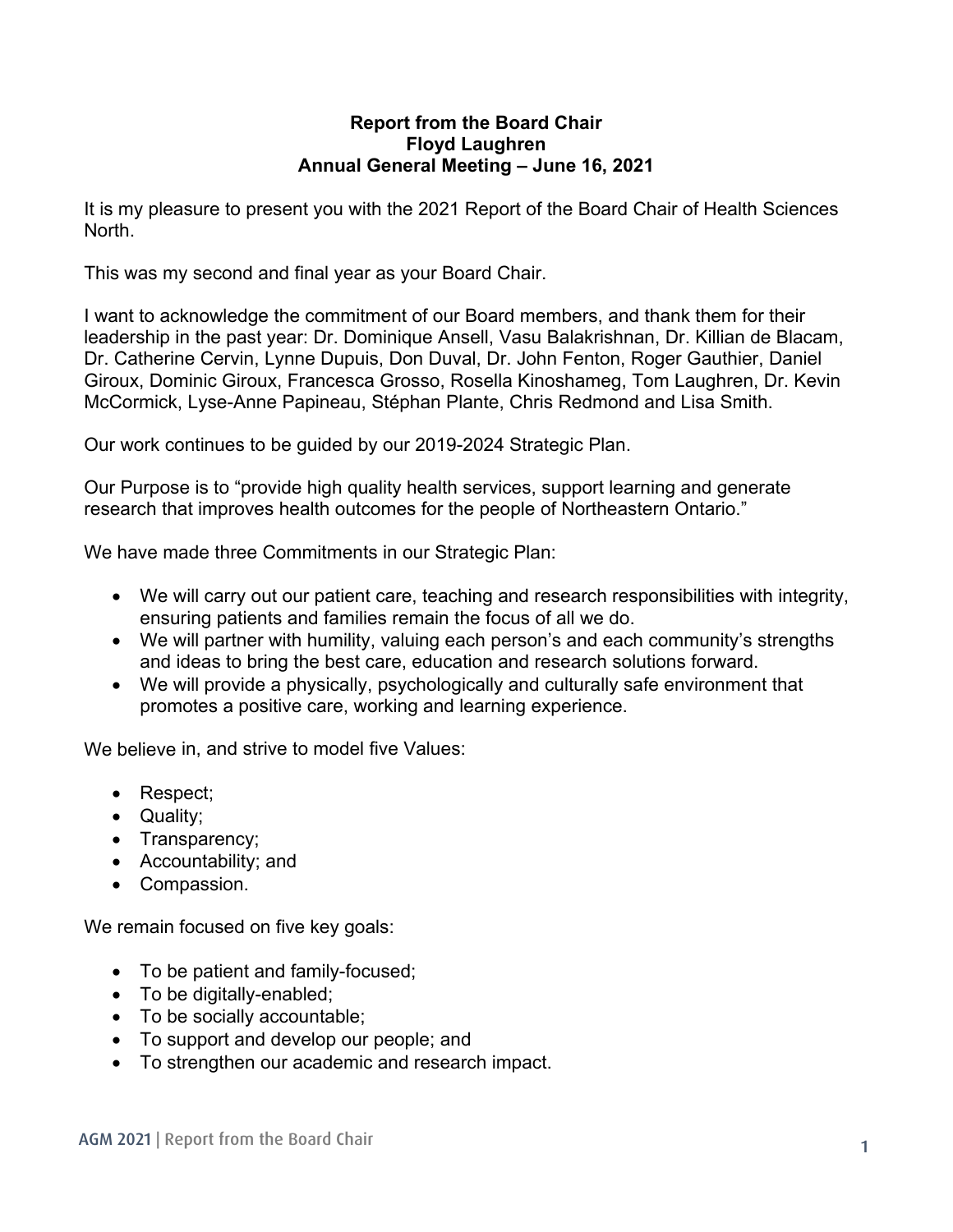## **Report from the Board Chair Floyd Laughren Annual General Meeting – June 16, 2021**

It is my pleasure to present you with the 2021 Report of the Board Chair of Health Sciences North.

This was my second and final year as your Board Chair.

I want to acknowledge the commitment of our Board members, and thank them for their leadership in the past year: Dr. Dominique Ansell, Vasu Balakrishnan, Dr. Killian de Blacam, Dr. Catherine Cervin, Lynne Dupuis, Don Duval, Dr. John Fenton, Roger Gauthier, Daniel Giroux, Dominic Giroux, Francesca Grosso, Rosella Kinoshameg, Tom Laughren, Dr. Kevin McCormick, Lyse-Anne Papineau, Stéphan Plante, Chris Redmond and Lisa Smith.

Our work continues to be guided by our 2019-2024 Strategic Plan.

Our Purpose is to "provide high quality health services, support learning and generate research that improves health outcomes for the people of Northeastern Ontario."

We have made three Commitments in our Strategic Plan:

- We will carry out our patient care, teaching and research responsibilities with integrity, ensuring patients and families remain the focus of all we do.
- We will partner with humility, valuing each person's and each community's strengths and ideas to bring the best care, education and research solutions forward.
- We will provide a physically, psychologically and culturally safe environment that promotes a positive care, working and learning experience.

We believe in, and strive to model five Values:

- Respect;
- Quality;
- Transparency;
- Accountability; and
- Compassion.

We remain focused on five key goals:

- To be patient and family-focused;
- To be digitally-enabled;
- To be socially accountable;
- To support and develop our people; and
- To strengthen our academic and research impact.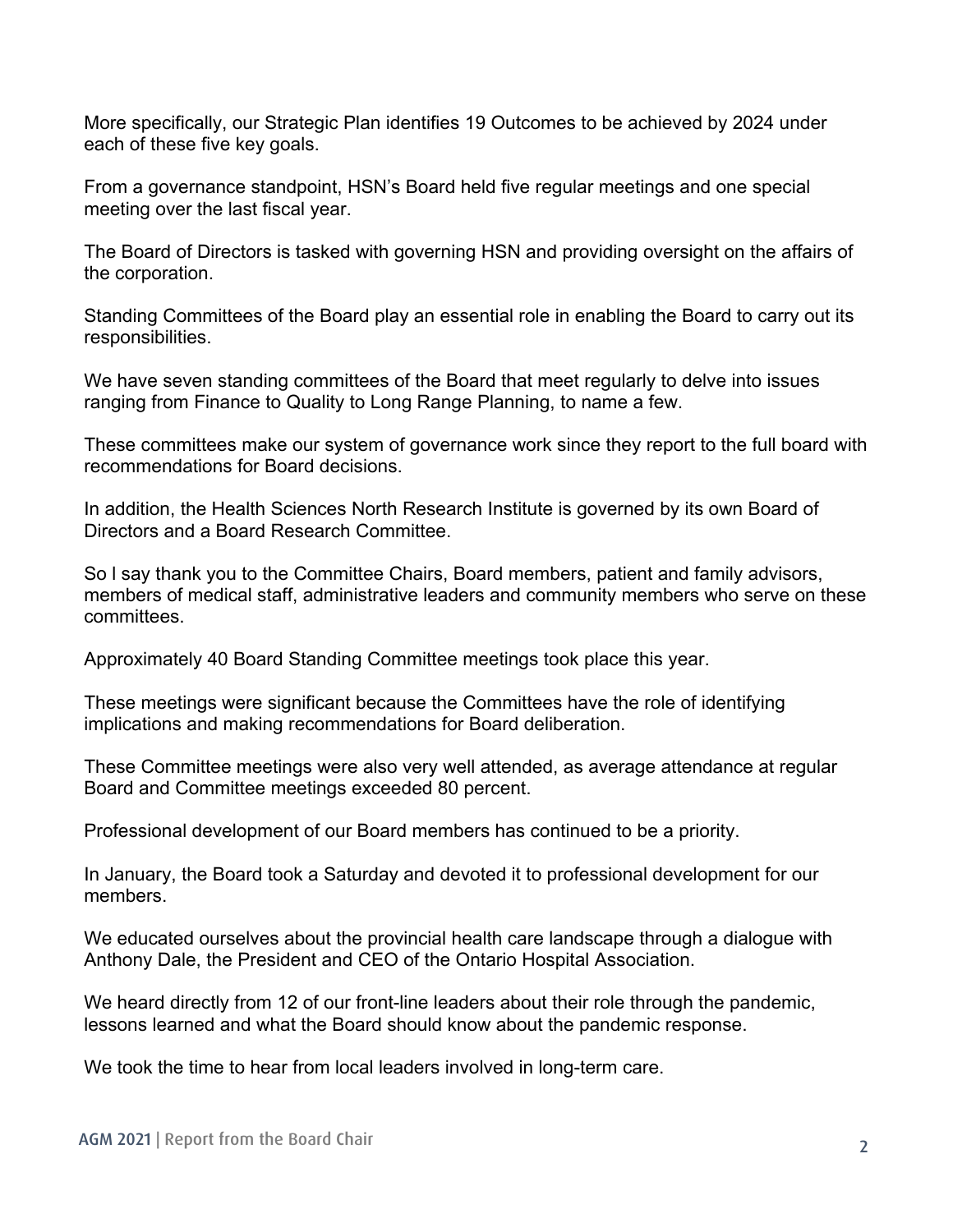More specifically, our Strategic Plan identifies 19 Outcomes to be achieved by 2024 under each of these five key goals.

From a governance standpoint, HSN's Board held five regular meetings and one special meeting over the last fiscal year.

The Board of Directors is tasked with governing HSN and providing oversight on the affairs of the corporation.

Standing Committees of the Board play an essential role in enabling the Board to carry out its responsibilities.

We have seven standing committees of the Board that meet regularly to delve into issues ranging from Finance to Quality to Long Range Planning, to name a few.

These committees make our system of governance work since they report to the full board with recommendations for Board decisions.

In addition, the Health Sciences North Research Institute is governed by its own Board of Directors and a Board Research Committee.

So l say thank you to the Committee Chairs, Board members, patient and family advisors, members of medical staff, administrative leaders and community members who serve on these committees.

Approximately 40 Board Standing Committee meetings took place this year.

These meetings were significant because the Committees have the role of identifying implications and making recommendations for Board deliberation.

These Committee meetings were also very well attended, as average attendance at regular Board and Committee meetings exceeded 80 percent.

Professional development of our Board members has continued to be a priority.

In January, the Board took a Saturday and devoted it to professional development for our members.

We educated ourselves about the provincial health care landscape through a dialogue with Anthony Dale, the President and CEO of the Ontario Hospital Association.

We heard directly from 12 of our front-line leaders about their role through the pandemic, lessons learned and what the Board should know about the pandemic response.

We took the time to hear from local leaders involved in long-term care.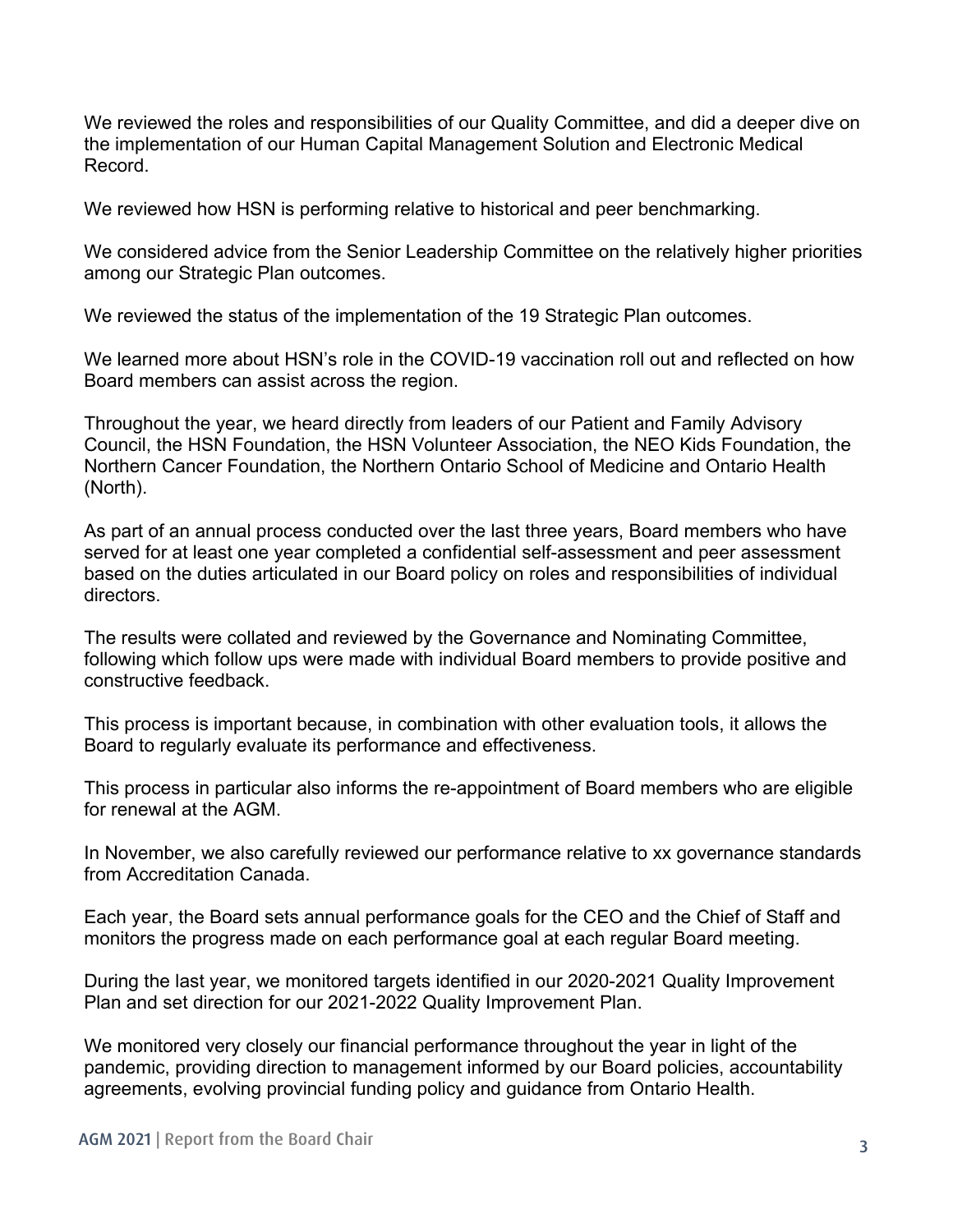We reviewed the roles and responsibilities of our Quality Committee, and did a deeper dive on the implementation of our Human Capital Management Solution and Electronic Medical Record.

We reviewed how HSN is performing relative to historical and peer benchmarking.

We considered advice from the Senior Leadership Committee on the relatively higher priorities among our Strategic Plan outcomes.

We reviewed the status of the implementation of the 19 Strategic Plan outcomes.

We learned more about HSN's role in the COVID-19 vaccination roll out and reflected on how Board members can assist across the region.

Throughout the year, we heard directly from leaders of our Patient and Family Advisory Council, the HSN Foundation, the HSN Volunteer Association, the NEO Kids Foundation, the Northern Cancer Foundation, the Northern Ontario School of Medicine and Ontario Health (North).

As part of an annual process conducted over the last three years, Board members who have served for at least one year completed a confidential self-assessment and peer assessment based on the duties articulated in our Board policy on roles and responsibilities of individual directors.

The results were collated and reviewed by the Governance and Nominating Committee, following which follow ups were made with individual Board members to provide positive and constructive feedback.

This process is important because, in combination with other evaluation tools, it allows the Board to regularly evaluate its performance and effectiveness.

This process in particular also informs the re-appointment of Board members who are eligible for renewal at the AGM.

In November, we also carefully reviewed our performance relative to xx governance standards from Accreditation Canada.

Each year, the Board sets annual performance goals for the CEO and the Chief of Staff and monitors the progress made on each performance goal at each regular Board meeting.

During the last year, we monitored targets identified in our 2020-2021 Quality Improvement Plan and set direction for our 2021-2022 Quality Improvement Plan.

We monitored very closely our financial performance throughout the year in light of the pandemic, providing direction to management informed by our Board policies, accountability agreements, evolving provincial funding policy and guidance from Ontario Health.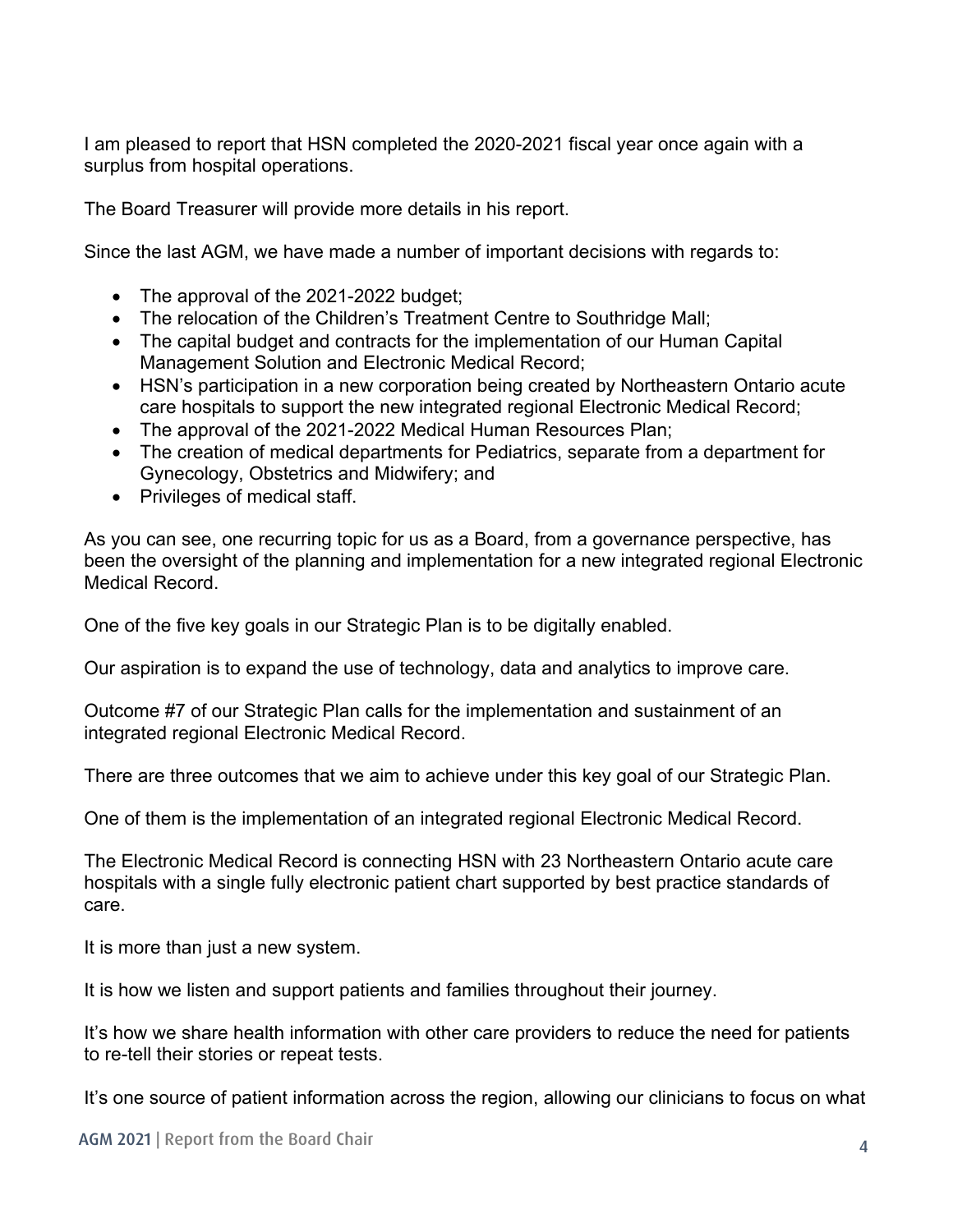I am pleased to report that HSN completed the 2020-2021 fiscal year once again with a surplus from hospital operations.

The Board Treasurer will provide more details in his report.

Since the last AGM, we have made a number of important decisions with regards to:

- The approval of the 2021-2022 budget;
- The relocation of the Children's Treatment Centre to Southridge Mall;
- The capital budget and contracts for the implementation of our Human Capital Management Solution and Electronic Medical Record;
- HSN's participation in a new corporation being created by Northeastern Ontario acute care hospitals to support the new integrated regional Electronic Medical Record;
- The approval of the 2021-2022 Medical Human Resources Plan:
- The creation of medical departments for Pediatrics, separate from a department for Gynecology, Obstetrics and Midwifery; and
- Privileges of medical staff.

As you can see, one recurring topic for us as a Board, from a governance perspective, has been the oversight of the planning and implementation for a new integrated regional Electronic Medical Record.

One of the five key goals in our Strategic Plan is to be digitally enabled.

Our aspiration is to expand the use of technology, data and analytics to improve care.

Outcome #7 of our Strategic Plan calls for the implementation and sustainment of an integrated regional Electronic Medical Record.

There are three outcomes that we aim to achieve under this key goal of our Strategic Plan.

One of them is the implementation of an integrated regional Electronic Medical Record.

The Electronic Medical Record is connecting HSN with 23 Northeastern Ontario acute care hospitals with a single fully electronic patient chart supported by best practice standards of care.

It is more than just a new system.

It is how we listen and support patients and families throughout their journey.

It's how we share health information with other care providers to reduce the need for patients to re-tell their stories or repeat tests.

It's one source of patient information across the region, allowing our clinicians to focus on what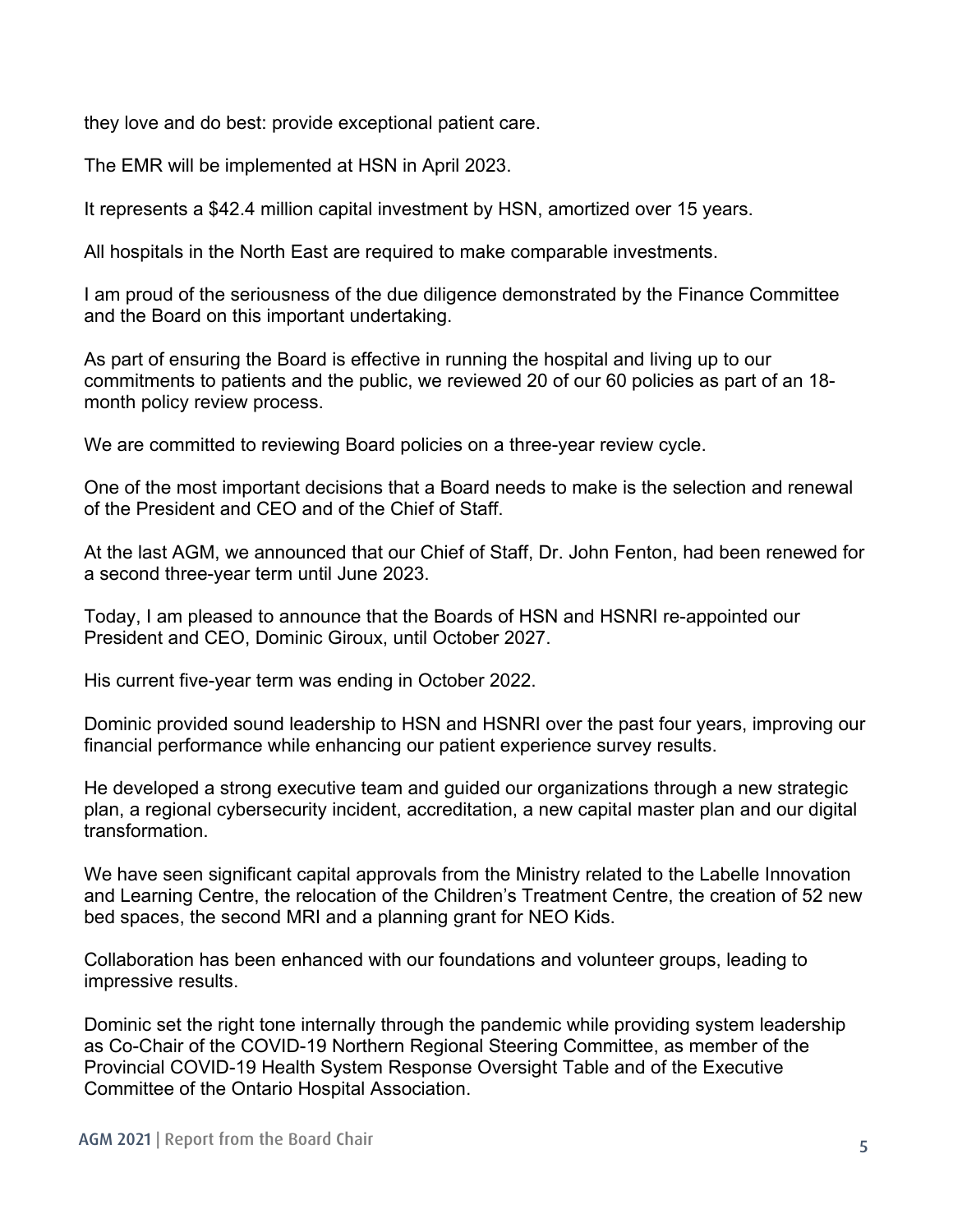they love and do best: provide exceptional patient care.

The EMR will be implemented at HSN in April 2023.

It represents a \$42.4 million capital investment by HSN, amortized over 15 years.

All hospitals in the North East are required to make comparable investments.

I am proud of the seriousness of the due diligence demonstrated by the Finance Committee and the Board on this important undertaking.

As part of ensuring the Board is effective in running the hospital and living up to our commitments to patients and the public, we reviewed 20 of our 60 policies as part of an 18 month policy review process.

We are committed to reviewing Board policies on a three-year review cycle.

One of the most important decisions that a Board needs to make is the selection and renewal of the President and CEO and of the Chief of Staff.

At the last AGM, we announced that our Chief of Staff, Dr. John Fenton, had been renewed for a second three-year term until June 2023.

Today, I am pleased to announce that the Boards of HSN and HSNRI re-appointed our President and CEO, Dominic Giroux, until October 2027.

His current five-year term was ending in October 2022.

Dominic provided sound leadership to HSN and HSNRI over the past four years, improving our financial performance while enhancing our patient experience survey results.

He developed a strong executive team and guided our organizations through a new strategic plan, a regional cybersecurity incident, accreditation, a new capital master plan and our digital transformation.

We have seen significant capital approvals from the Ministry related to the Labelle Innovation and Learning Centre, the relocation of the Children's Treatment Centre, the creation of 52 new bed spaces, the second MRI and a planning grant for NEO Kids.

Collaboration has been enhanced with our foundations and volunteer groups, leading to impressive results.

Dominic set the right tone internally through the pandemic while providing system leadership as Co-Chair of the COVID-19 Northern Regional Steering Committee, as member of the Provincial COVID-19 Health System Response Oversight Table and of the Executive Committee of the Ontario Hospital Association.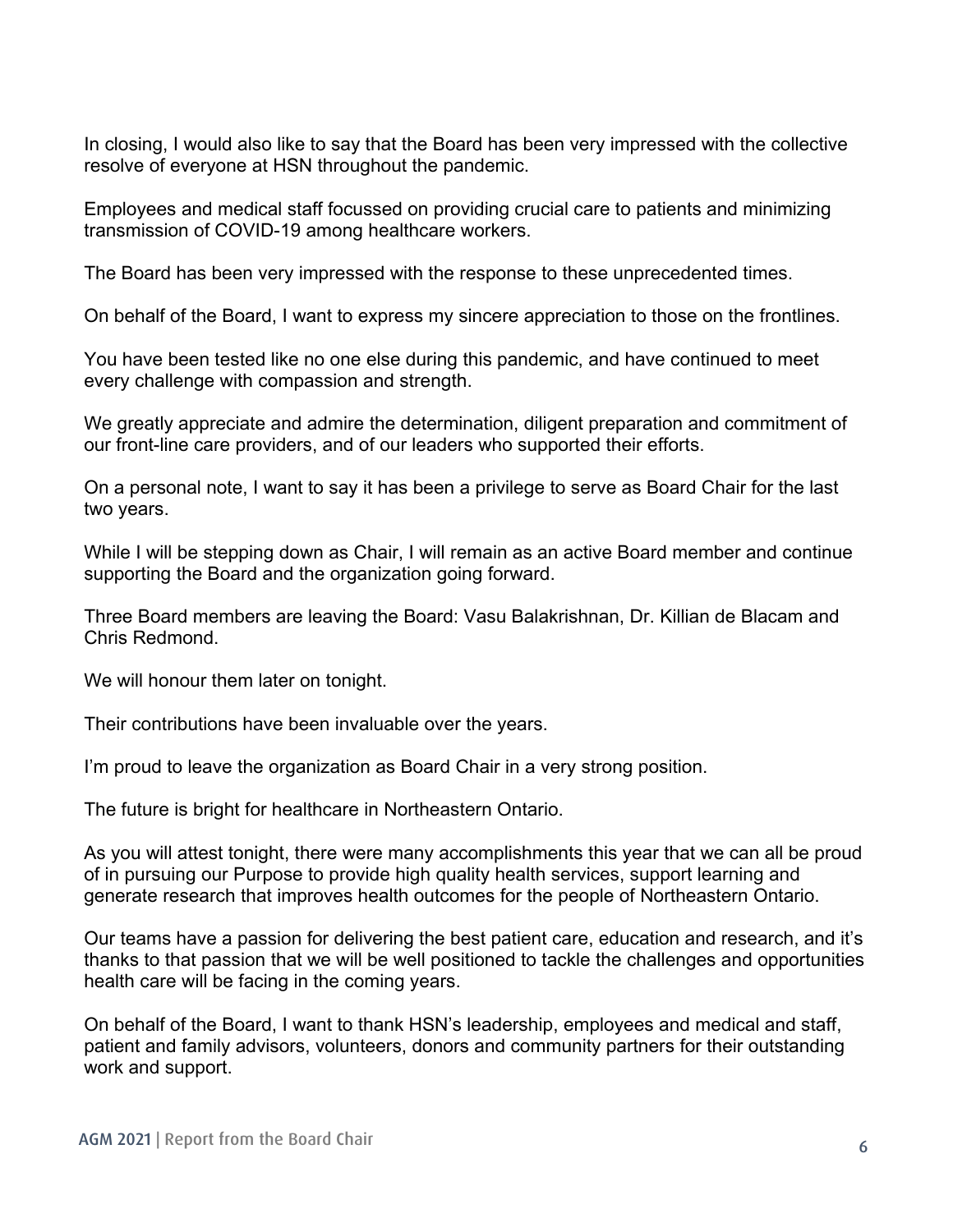In closing, I would also like to say that the Board has been very impressed with the collective resolve of everyone at HSN throughout the pandemic.

Employees and medical staff focussed on providing crucial care to patients and minimizing transmission of COVID-19 among healthcare workers.

The Board has been very impressed with the response to these unprecedented times.

On behalf of the Board, I want to express my sincere appreciation to those on the frontlines.

You have been tested like no one else during this pandemic, and have continued to meet every challenge with compassion and strength.

We greatly appreciate and admire the determination, diligent preparation and commitment of our front-line care providers, and of our leaders who supported their efforts.

On a personal note, I want to say it has been a privilege to serve as Board Chair for the last two years.

While I will be stepping down as Chair, I will remain as an active Board member and continue supporting the Board and the organization going forward.

Three Board members are leaving the Board: Vasu Balakrishnan, Dr. Killian de Blacam and Chris Redmond.

We will honour them later on tonight.

Their contributions have been invaluable over the years.

I'm proud to leave the organization as Board Chair in a very strong position.

The future is bright for healthcare in Northeastern Ontario.

As you will attest tonight, there were many accomplishments this year that we can all be proud of in pursuing our Purpose to provide high quality health services, support learning and generate research that improves health outcomes for the people of Northeastern Ontario.

Our teams have a passion for delivering the best patient care, education and research, and it's thanks to that passion that we will be well positioned to tackle the challenges and opportunities health care will be facing in the coming years.

On behalf of the Board, I want to thank HSN's leadership, employees and medical and staff, patient and family advisors, volunteers, donors and community partners for their outstanding work and support.